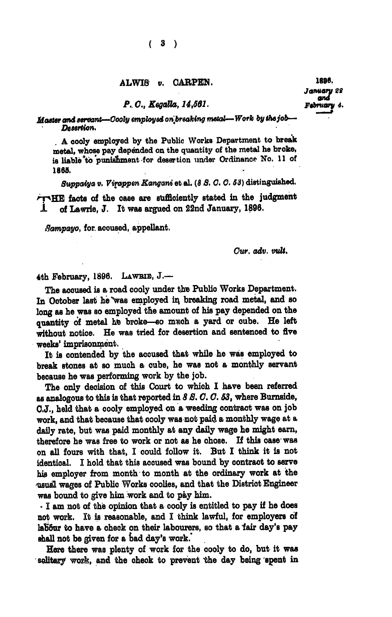## ALWIS v. OARPEN. **1880.**

*P.. 0., KegaUa, 14,681. February* 

*Master and servant—Oooly employed onjbreahing metal— Work by the job— Desertion.* 

*. A* cooly employed by the Public Works Department to break metal, whose pay depended on the quantity of the metal he broke, is liable "to punishment for desertion under Ordinanop No. **11** of **1868.** 

*Suppaiya v. Virappen Kangani* et al. *(8 S. 0. 0. 63)* distinguished.

TIE facts of the case are sufficiently stated in the judgment •1 of Lawrie, J. It was argued on 22nd January, 1898.

*Sampayo,* for aooused, appellant.

*Cur. adv. vuU.* 

4th February, 1898. **LAWBIH, J.—** 

The accused is a road cooly under the Public Works Department. In Ootober last he was employed in breaking road metal, and so long as he was so employed the amount of his pay depended on the quantity of metal he broke—so maoh a yard or oube. He left without notice. He was tried for desertion and sentenced to five weeks' imprisonment.

It is contended by the aooused that while he was employed to break stones at so muoh a oube, he was not a monthly servant beoause he was performing work by the job.

The only decision of this Court to which I have been referred as analogous to this is that reported in *8 8.0.0. 63,* where Burnside, O.J., held that a oooly employed on a weeding oontraot was on job work, and that beoause that oooly was not paid a monthly wage at a daily rate, but was paid monthly at any daily wage he might earn, therefore he was free to work or not as he ohose. If this oase was on all fours with that, I oould follow it. But I think it is not identical. I hold that this aooused was bound by oontraot to serve his employer from month to month at the ordinary work at the usual wages of Public Works coolies, and that the District Engineer was bound to give him work and to pay him.

• I am not of the opinion that a oooly is entitled to pay if he does not work. It is reasonable, and I think lawful, for employers of labour to have a check on their labourers, so that a fair day's pay shall not be given for a bad day's work.

Here there was plenty of work for the cooly to do, but it was solitary work, and the check to prevent the day being spent in

January 22<br>**a**nd